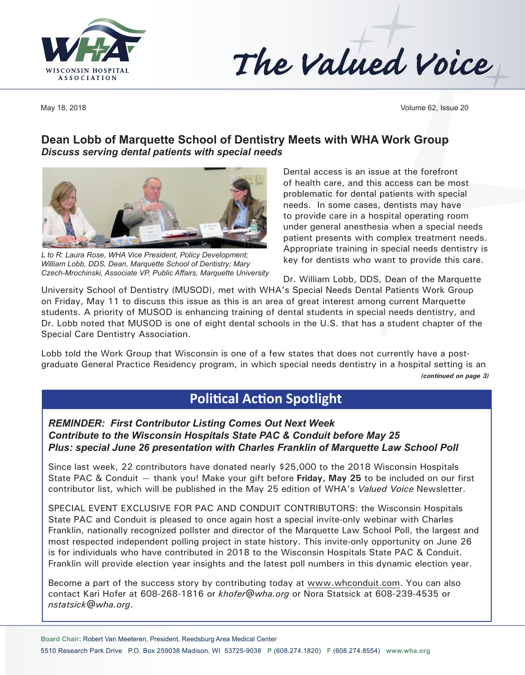



May 18, 2018 Volume 62, Issue 20

### **Dean Lobb of Marquette School of Dentistry Meets with WHA Work Group** *Discuss serving dental patients with special needs*



*L to R: Laura Rose, WHA Vice President, Policy Development; William Lobb, DDS, Dean, Marquette School of Dentistry; Mary Czech-Mrochinski, Associate VP, Public Affairs, Marquette University*

Dental access is an issue at the forefront of health care, and this access can be most problematic for dental patients with special needs. In some cases, dentists may have to provide care in a hospital operating room under general anesthesia when a special needs patient presents with complex treatment needs. Appropriate training in special needs dentistry is key for dentists who want to provide this care.

Dr. William Lobb, DDS, Dean of the Marquette

University School of Dentistry (MUSOD), met with WHA's Special Needs Dental Patients Work Group on Friday, May 11 to discuss this issue as this is an area of great interest among current Marquette students. A priority of MUSOD is enhancing training of dental students in special needs dentistry, and Dr. Lobb noted that MUSOD is one of eight dental schools in the U.S. that has a student chapter of the Special Care Dentistry Association.

Lobb told the Work Group that Wisconsin is one of a few states that does not currently have a postgraduate General Practice Residency program, in which special needs dentistry in a hospital setting is an *(continued on page 3)*

# **Political Action Spotlight**

*REMINDER: First Contributor Listing Comes Out Next Week Contribute to the Wisconsin Hospitals State PAC & Conduit before May 25 Plus: special June 26 presentation with Charles Franklin of Marquette Law School Poll* 

Since last week, 22 contributors have donated nearly \$25,000 to the 2018 Wisconsin Hospitals State PAC & Conduit — thank you! Make your gift before **Friday, May 25** to be included on our first contributor list, which will be published in the May 25 edition of WHA's *Valued Voice* Newsletter.

SPECIAL EVENT EXCLUSIVE FOR PAC AND CONDUIT CONTRIBUTORS: the Wisconsin Hospitals State PAC and Conduit is pleased to once again host a special invite-only webinar with Charles Franklin, nationally recognized pollster and director of the Marquette Law School Poll, the largest and most respected independent polling project in state history. This invite-only opportunity on June 26 is for individuals who have contributed in 2018 to the Wisconsin Hospitals State PAC & Conduit. Franklin will provide election year insights and the latest poll numbers in this dynamic election year.

Become a part of the success story by contributing today at [www.whconduit.com](http://www.whconduit.com). You can also contact Kari Hofer at 608-268-1816 or *[khofer@wha.org](mailto:khofer@wha.org)* or Nora Statsick at 608-239-4535 or *[nstatsick@wha.org](mailto:nstatsick@wha.org)*.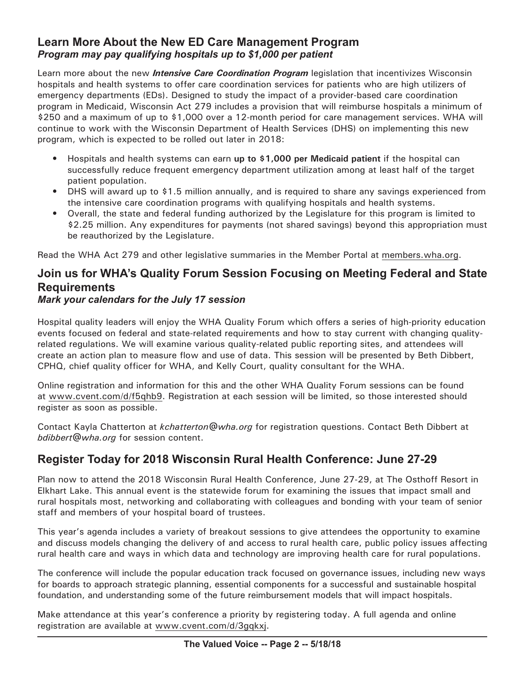### **Learn More About the New ED Care Management Program** *Program may pay qualifying hospitals up to \$1,000 per patient*

Learn more about the new *Intensive Care Coordination Program* legislation that incentivizes Wisconsin hospitals and health systems to offer care coordination services for patients who are high utilizers of emergency departments (EDs). Designed to study the impact of a provider-based care coordination program in Medicaid, Wisconsin Act 279 includes a provision that will reimburse hospitals a minimum of \$250 and a maximum of up to \$1,000 over a 12-month period for care management services. WHA will continue to work with the Wisconsin Department of Health Services (DHS) on implementing this new program, which is expected to be rolled out later in 2018:

- Hospitals and health systems can earn **up to \$1,000 per Medicaid patient** if the hospital can successfully reduce frequent emergency department utilization among at least half of the target patient population.
- DHS will award up to \$1.5 million annually, and is required to share any savings experienced from the intensive care coordination programs with qualifying hospitals and health systems.
- Overall, the state and federal funding authorized by the Legislature for this program is limited to \$2.25 million. Any expenditures for payments (not shared savings) beyond this appropriation must be reauthorized by the Legislature.

Read the WHA Act 279 and other legislative summaries in the Member Portal at [members.wha.org](http://members.wha.org).

### **Join us for WHA's Quality Forum Session Focusing on Meeting Federal and State Requirements**

#### *Mark your calendars for the July 17 session*

Hospital quality leaders will enjoy the WHA Quality Forum which offers a series of high-priority education events focused on federal and state-related requirements and how to stay current with changing qualityrelated regulations. We will examine various quality-related public reporting sites, and attendees will create an action plan to measure flow and use of data. This session will be presented by Beth Dibbert, CPHQ, chief quality officer for WHA, and Kelly Court, quality consultant for the WHA.

Online registration and information for this and the other WHA Quality Forum sessions can be found at [www.cvent.com](http://www.cvent.com/d/f5qhb9)/d/f5qhb9. Registration at each session will be limited, so those interested should register as soon as possible.

Contact Kayla Chatterton at *[kchatterton@wha.org](mailto:kchatterton@wha.org)* for registration questions. Contact Beth Dibbert at *[bdibbert@wha.org](mailto:bdibbert@wha.org)* for session content.

# **Register Today for 2018 Wisconsin Rural Health Conference: June 27-29**

Plan now to attend the 2018 Wisconsin Rural Health Conference, June 27-29, at The Osthoff Resort in Elkhart Lake. This annual event is the statewide forum for examining the issues that impact small and rural hospitals most, networking and collaborating with colleagues and bonding with your team of senior staff and members of your hospital board of trustees.

This year's agenda includes a variety of breakout sessions to give attendees the opportunity to examine and discuss models changing the delivery of and access to rural health care, public policy issues affecting rural health care and ways in which data and technology are improving health care for rural populations.

The conference will include the popular education track focused on governance issues, including new ways for boards to approach strategic planning, essential components for a successful and sustainable hospital foundation, and understanding some of the future reimbursement models that will impact hospitals.

Make attendance at this year's conference a priority by registering today. A full agenda and online registration are available at [www.cvent.com/](http://www.cvent.com/d/3gqkxj)d/3gqkxj.